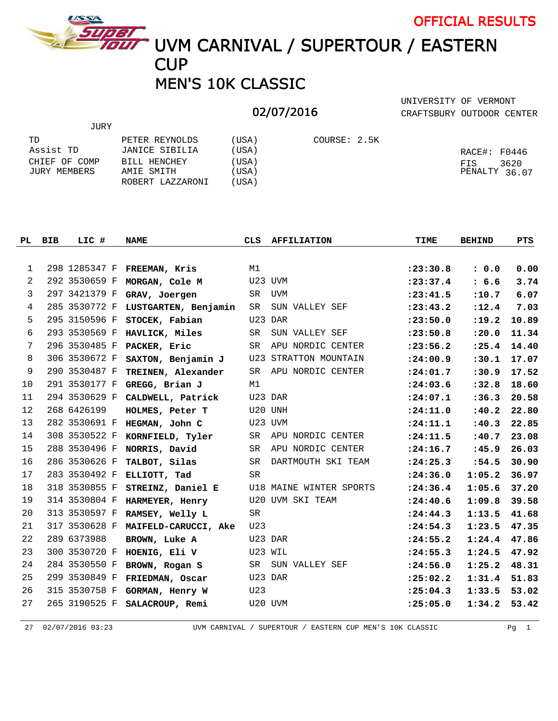

JURY

TOUT UVM CARNIVAL / SUPERTOUR / EASTERN **CUP** 

## MEN'S 10K CLASSIC

## 02/07/2016

CRAFTSBURY OUTDOOR CENTER UNIVERSITY OF VERMONT

OFFICIAL RESULTS

| TD            | PETER REYNOLDS   | USA)  | COURSE: 2.5K |               |
|---------------|------------------|-------|--------------|---------------|
| Assist TD     | JANICE SIBILIA   | USA)  |              | RACE#: F0446  |
| CHIEF OF COMP | BILL HENCHEY     | USA)  |              | 3620<br>FIS   |
| JURY MEMBERS  | AMIE SMITH       | USA)  |              | PENALTY 36.07 |
|               | ROBERT LAZZARONI | (USA) |              |               |

| PL. | <b>BIB</b> | LIC #         | <b>NAME</b>                 | CLS       | <b>AFFILIATION</b>           | TIME       | <b>BEHIND</b> | PTS   |
|-----|------------|---------------|-----------------------------|-----------|------------------------------|------------|---------------|-------|
|     |            |               |                             |           |                              |            |               |       |
| 1   |            |               | 298 1285347 F FREEMAN, Kris | M1        |                              | : 23: 30.8 | : 0.0         | 0.00  |
| 2   |            | 292 3530659 F | MORGAN, Cole M              |           | U23 UVM                      | : 23: 37.4 | : 6.6         | 3.74  |
| 3   |            | 297 3421379 F | GRAV, Joergen               | SR        | UVM                          | : 23: 41.5 | :10.7         | 6.07  |
| 4   |            | 285 3530772 F | LUSTGARTEN, Benjamin        | SR        | SUN VALLEY SEF               | : 23: 43.2 | : 12.4        | 7.03  |
| 5   |            | 295 3150596 F | STOCEK, Fabian              |           | U23 DAR                      | : 23: 50.0 | : 19.2        | 10.89 |
| 6   |            | 293 3530569 F | HAVLICK, Miles              | SR.       | SUN VALLEY SEF               | : 23:50.8  | : 20.0        | 11.34 |
| 7   |            | 296 3530485 F | PACKER, Eric                | <b>SR</b> | APU NORDIC CENTER            | : 23: 56.2 | : 25.4        | 14.40 |
| 8   |            | 306 3530672 F | SAXTON, Benjamin J          |           | <b>U23 STRATTON MOUNTAIN</b> | : 24:00.9  | : 30.1        | 17.07 |
| 9   |            | 290 3530487 F | TREINEN, Alexander          | <b>SR</b> | APU NORDIC CENTER            | : 24:01.7  | : 30.9        | 17.52 |
| 10  |            | 291 3530177 F | GREGG, Brian J              | M1        |                              | : 24:03.6  | :32.8         | 18.60 |
| 11  |            | 294 3530629 F | CALDWELL, Patrick           |           | U23 DAR                      | : 24:07.1  | : 36.3        | 20.58 |
| 12  |            | 268 6426199   | HOLMES, Peter T             |           | U20 UNH                      | : 24:11.0  | : 40.2        | 22.80 |
| 13  |            | 282 3530691 F | HEGMAN, John C              |           | U23 UVM                      | : 24: 11.1 | : 40.3        | 22.85 |
| 14  |            | 308 3530522 F | KORNFIELD, Tyler            | <b>SR</b> | APU NORDIC CENTER            | : 24: 11.5 | :40.7         | 23.08 |
| 15  |            | 288 3530496 F | NORRIS, David               | <b>SR</b> | APU NORDIC CENTER            | : 24:16.7  | :45.9         | 26.03 |
| 16  |            | 286 3530626 F | TALBOT, Silas               | <b>SR</b> | DARTMOUTH SKI TEAM           | : 24: 25.3 | : 54.5        | 30.90 |
| 17  |            | 283 3530492 F | ELLIOTT, Tad                | <b>SR</b> |                              | : 24:36.0  | 1:05.2        | 36.97 |
| 18  |            | 318 3530855 F | STREINZ, Daniel E           |           | U18 MAINE WINTER SPORTS      | : 24:36.4  | 1:05.6        | 37.20 |
| 19  |            | 314 3530804 F | HARMEYER, Henry             |           | U20 UVM SKI TEAM             | : 24: 40.6 | 1:09.8        | 39.58 |
| 20  |            | 313 3530597 F | RAMSEY, Welly L             | <b>SR</b> |                              | : 24: 44.3 | 1:13.5        | 41.68 |
| 21  |            | 317 3530628 F | MAIFELD-CARUCCI, Ake        | U23       |                              | : 24:54.3  | 1:23.5        | 47.35 |
| 22  |            | 289 6373988   | BROWN, Luke A               |           | U23 DAR                      | : 24:55.2  | 1:24.4        | 47.86 |
| 23  |            | 300 3530720 F | HOENIG, Eli V               |           | U23 WIL                      | : 24:55.3  | 1:24.5        | 47.92 |
| 24  |            | 284 3530550 F | BROWN, Rogan S              | SR        | SUN VALLEY SEF               | : 24:56.0  | 1:25.2        | 48.31 |
| 25  |            | 299 3530849 F | FRIEDMAN, Oscar             |           | U23 DAR                      | : 25:02.2  | 1:31.4        | 51.83 |
| 26  |            | 315 3530758 F | GORMAN, Henry W             | U23       |                              | : 25:04.3  | 1:33.5        | 53.02 |
| 27  |            | 265 3190525 F | SALACROUP, Remi             |           | U20 UVM                      | : 25:05.0  | 1:34.2        | 53.42 |

27 02/07/2016 03:23 UVM CARNIVAL / SUPERTOUR / EASTERN CUP MEN'S 10K CLASSIC Pg 1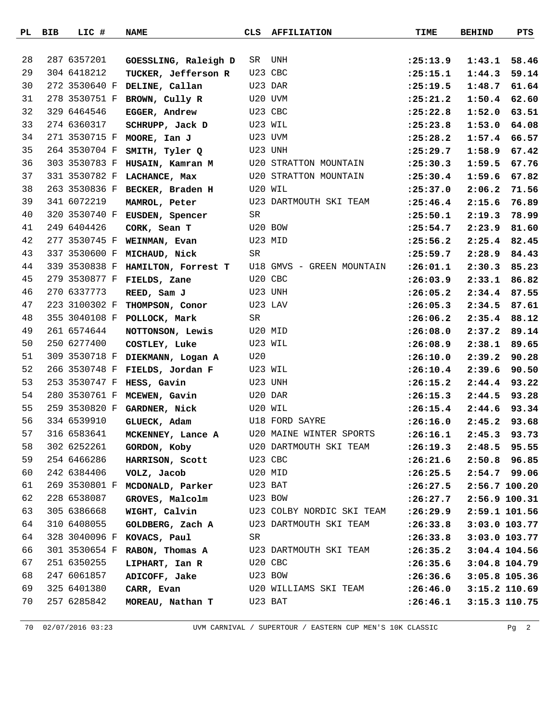| PL | BIB | LIC #         | <b>NAME</b>                             | CLS     | <b>AFFILIATION</b>                      | <b>TIME</b> | <b>BEHIND</b> | PTS   |
|----|-----|---------------|-----------------------------------------|---------|-----------------------------------------|-------------|---------------|-------|
|    |     |               |                                         |         |                                         |             |               |       |
| 28 |     | 287 6357201   | GOESSLING, Raleigh D                    | SR      | UNH                                     | : 25: 13.9  | 1:43.1        | 58.46 |
| 29 |     | 304 6418212   | TUCKER, Jefferson R                     |         | U23 CBC                                 | : 25:15.1   | 1:44.3        | 59.14 |
| 30 |     | 272 3530640 F | DELINE, Callan                          |         | U23 DAR                                 | : 25: 19.5  | 1:48.7        | 61.64 |
| 31 |     | 278 3530751 F | BROWN, Cully R                          |         | U20 UVM                                 | : 25: 21.2  | 1:50.4        | 62.60 |
| 32 |     | 329 6464546   | <b>EGGER, Andrew</b>                    |         | U23 CBC                                 | : 25: 22.8  | 1:52.0        | 63.51 |
| 33 |     | 274 6360317   | SCHRUPP, Jack D                         |         | U23 WIL                                 | : 25: 23.8  | 1:53.0        | 64.08 |
| 34 |     | 271 3530715 F | MOORE, Ian J                            |         | U23 UVM                                 | : 25: 28.2  | 1:57.4        | 66.57 |
| 35 |     | 264 3530704 F | SMITH, Tyler Q                          |         | U23 UNH                                 | : 25: 29.7  | 1:58.9        | 67.42 |
| 36 |     | 303 3530783 F | HUSAIN, Kamran M                        |         | U20 STRATTON MOUNTAIN                   | : 25:30.3   | 1:59.5        | 67.76 |
| 37 |     | 331 3530782 F | LACHANCE, Max                           |         | U20 STRATTON MOUNTAIN                   | : 25:30.4   | 1:59.6        | 67.82 |
| 38 |     | 263 3530836 F | BECKER, Braden H                        |         | U20 WIL                                 | : 25:37.0   | 2:06.2        | 71.56 |
| 39 |     | 341 6072219   | MAMROL, Peter                           |         | U23 DARTMOUTH SKI TEAM                  | : 25: 46.4  | 2:15.6        | 76.89 |
| 40 |     |               | 320 3530740 F EUSDEN, Spencer           | SR      |                                         | : 25:50.1   | 2:19.3        | 78.99 |
| 41 |     | 249 6404426   | CORK, Sean T                            |         | U20 BOW                                 | : 25: 54.7  | 2:23.9        | 81.60 |
| 42 |     | 277 3530745 F | WEINMAN, Evan                           |         | U23 MID                                 | : 25:56.2   | 2:25.4        | 82.45 |
| 43 |     | 337 3530600 F | MICHAUD, Nick                           | SR      |                                         | : 25:59.7   | 2:28.9        | 84.43 |
| 44 |     | 339 3530838 F | HAMILTON, Forrest T                     |         | U18 GMVS - GREEN MOUNTAIN               | : 26:01.1   | 2:30.3        | 85.23 |
| 45 |     | 279 3530877 F | FIELDS, Zane                            |         | U20 CBC                                 | : 26:03.9   | 2:33.1        | 86.82 |
| 46 |     | 270 6337773   | REED, Sam J                             |         | U23 UNH                                 | : 26:05.2   | 2:34.4        | 87.55 |
| 47 |     | 223 3100302 F | THOMPSON, Conor                         |         | U23 LAV                                 | : 26:05.3   | 2:34.5        | 87.61 |
| 48 |     |               | 355 3040108 F POLLOCK, Mark             | SR      |                                         | : 26:06.2   | 2:35.4        | 88.12 |
| 49 |     | 261 6574644   | NOTTONSON, Lewis                        |         | U20 MID                                 | :26:08.0    | 2:37.2        | 89.14 |
| 50 |     | 250 6277400   | COSTLEY, Luke                           |         | U23 WIL                                 | : 26:08.9   | 2:38.1        | 89.65 |
| 51 |     | 309 3530718 F | DIEKMANN, Logan A                       | U20     |                                         | :26:10.0    | 2:39.2        | 90.28 |
| 52 |     |               | 266 3530748 F FIELDS, Jordan F          |         | U23 WIL                                 | : 26: 10.4  | 2:39.6        | 90.50 |
| 53 |     | 253 3530747 F | HESS, Gavin                             |         | U23 UNH                                 | : 26: 15.2  | 2:44.4        | 93.22 |
| 54 |     |               | 280 3530761 F MCEWEN, Gavin             |         | U20 DAR                                 | : 26:15.3   | 2:44.5        | 93.28 |
| 55 |     | 259 3530820 F | GARDNER, Nick                           |         | U20 WIL                                 | : 26: 15.4  | 2:44.6        | 93.34 |
| 56 |     | 334 6539910   | GLUECK, Adam                            |         | U18 FORD SAYRE                          | : 26:16.0   | 2:45.2        | 93.68 |
| 57 |     | 316 6583641   | MCKENNEY, Lance A                       |         | U20 MAINE WINTER SPORTS                 | : 26:16.1   | 2:45.3 93.73  |       |
| 58 |     | 302 6252261   | GORDON, Koby                            |         | U20 DARTMOUTH SKI TEAM                  | : 26: 19.3  | 2:48.5        | 95.55 |
| 59 |     | 254 6466286   | HARRISON, Scott                         | U23 CBC |                                         | :26:21.6    | 2:50.8 96.85  |       |
| 60 |     | 242 6384406   | VOLZ, Jacob                             |         | U20 MID                                 | : 26: 25.5  | 2:54.7 99.06  |       |
| 61 |     | 269 3530801 F | MCDONALD, Parker U23 BAT                |         |                                         | : 26: 27.5  | 2:56.7 100.20 |       |
| 62 |     | 228 6538087   | GROVES, Malcolm U23 BOW                 |         |                                         | : 26: 27.7  | 2:56.9 100.31 |       |
| 63 |     | 305 6386668   |                                         |         | WIGHT, Calvin U23 COLBY NORDIC SKI TEAM | : 26:29.9   | 2:59.1 101.56 |       |
| 64 |     | 310 6408055   | GOLDBERG, Zach A U23 DARTMOUTH SKI TEAM |         |                                         | : 26:33.8   | 3:03.0 103.77 |       |
| 64 |     | 328 3040096 F | KOVACS, Paul                            | SR      |                                         | : 26:33.8   | 3:03.0 103.77 |       |
| 66 |     | 301 3530654 F | RABON, Thomas A                         |         | U23 DARTMOUTH SKI TEAM                  | : 26:35.2   | 3:04.4 104.56 |       |
| 67 |     | 251 6350255   | LIPHART, Ian R                          |         | U20 CBC                                 | : 26:35.6   | 3:04.8 104.79 |       |
| 68 |     | 247 6061857   | ADICOFF, Jake                           | U23 BOW |                                         | : 26:36.6   | 3:05.8 105.36 |       |
| 69 |     | 325 6401380   | CARR, Evan                              |         | U20 WILLIAMS SKI TEAM                   | : 26: 46.0  | 3:15.2 110.69 |       |
| 70 |     | 257 6285842   | MOREAU, Nathan T                        |         | U23 BAT                                 | : 26: 46.1  | 3:15.3 110.75 |       |
|    |     |               |                                         |         |                                         |             |               |       |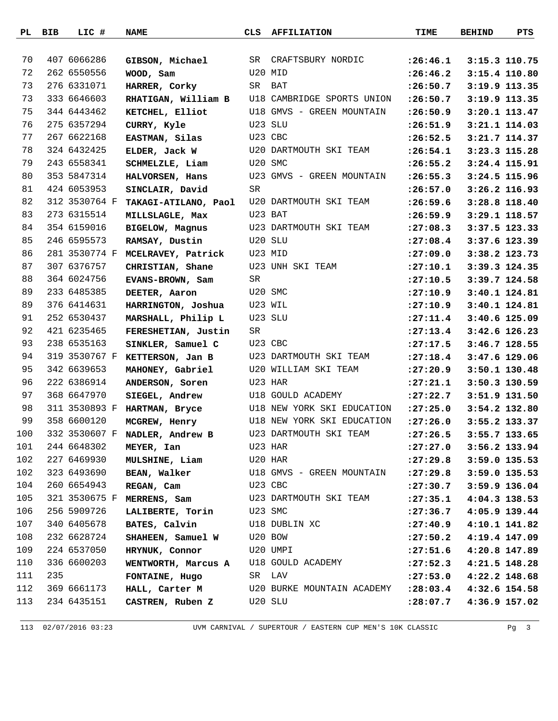|     | PL BIB | LIC #         | <b>NAME</b>                      | CLS | <b>AFFILIATION</b>         | TIME                       | <b>BEHIND</b>   | PTS             |
|-----|--------|---------------|----------------------------------|-----|----------------------------|----------------------------|-----------------|-----------------|
|     |        |               |                                  |     |                            |                            |                 |                 |
| 70  |        | 407 6066286   | GIBSON, Michael                  | SR  | CRAFTSBURY NORDIC          | : 26: 46.1                 |                 | 3:15.3 110.75   |
| 72  |        | 262 6550556   | WOOD, Sam                        |     | U20 MID                    | : 26: 46.2                 |                 | 3:15.4 110.80   |
| 73  |        | 276 6331071   | HARRER, Corky                    |     | SR BAT                     | : 26:50.7                  |                 | 3:19.9 113.35   |
| 73  |        | 333 6646603   | RHATIGAN, William B              |     | U18 CAMBRIDGE SPORTS UNION | : 26:50.7                  |                 | 3:19.9 113.35   |
| 75  |        | 344 6443462   | KETCHEL, Elliot                  |     | U18 GMVS - GREEN MOUNTAIN  | : 26:50.9                  |                 | 3:20.1 113.47   |
| 76  |        | 275 6357294   | CURRY, Kyle                      |     | U23 SLU                    | :26:51.9                   |                 | 3:21.1 114.03   |
| 77  |        | 267 6622168   | EASTMAN, Silas                   |     | U23 CBC                    | : 26:52.5                  |                 | 3:21.7 114.37   |
| 78  |        | 324 6432425   | ELDER, Jack W                    |     | U20 DARTMOUTH SKI TEAM     | : 26:54.1                  |                 | 3:23.3 115.28   |
| 79  |        | 243 6558341   | SCHMELZLE, Liam                  |     | U20 SMC                    | : 26:55.2                  |                 | 3:24.4 115.91   |
| 80  |        | 353 5847314   | HALVORSEN, Hans                  |     | U23 GMVS - GREEN MOUNTAIN  | : 26:55.3                  | 3:24.5 115.96   |                 |
| 81  |        | 424 6053953   | SINCLAIR, David                  | SR  |                            | : 26:57.0                  |                 | 3:26.2 116.93   |
| 82  |        | 312 3530764 F | TAKAGI-ATILANO, Paol             |     | U20 DARTMOUTH SKI TEAM     | : 26:59.6                  |                 | 3:28.8 118.40   |
| 83  |        | 273 6315514   | MILLSLAGLE, Max                  |     | U23 BAT                    | : 26:59.9                  |                 | 3:29.1 118.57   |
| 84  |        | 354 6159016   | <b>BIGELOW, Magnus</b>           |     | U23 DARTMOUTH SKI TEAM     | : 27:08.3                  |                 | 3:37.5 123.33   |
| 85  |        | 246 6595573   | RAMSAY, Dustin                   |     | U20 SLU                    | : 27:08.4                  |                 | 3:37.6 123.39   |
| 86  |        |               | 281 3530774 F MCELRAVEY, Patrick |     | U23 MID                    | : 27:09.0                  |                 | 3:38.2 123.73   |
| 87  |        | 307 6376757   | CHRISTIAN, Shane                 |     | U23 UNH SKI TEAM           | : 27: 10.1                 |                 | 3:39.3 124.35   |
| 88  |        | 364 6024756   | EVANS-BROWN, Sam                 | SR  |                            | : 27:10.5                  |                 | 3:39.7 124.58   |
| 89  |        | 233 6485385   | DEETER, Aaron                    |     | U20 SMC                    | : 27:10.9                  |                 | 3:40.1 124.81   |
| 89  |        | 376 6414631   | HARRINGTON, Joshua               |     | U23 WIL                    | : 27:10.9                  |                 | 3:40.1 124.81   |
| 91  |        | 252 6530437   | MARSHALL, Philip L               |     | U23 SLU                    | : 27: 11.4                 | $3:40.6$ 125.09 |                 |
| 92  |        | 421 6235465   | FERESHETIAN, Justin              | SR  |                            | : 27: 13.4                 |                 | 3:42.6 126.23   |
| 93  |        | 238 6535163   | SINKLER, Samuel C                |     | U23 CBC                    | : 27: 17.5                 |                 | $3:46.7$ 128.55 |
| 94  |        |               | 319 3530767 F KETTERSON, Jan B   |     | U23 DARTMOUTH SKI TEAM     | : 27:18.4                  |                 | 3:47.6 129.06   |
| 95  |        | 342 6639653   | MAHONEY, Gabriel                 |     | U20 WILLIAM SKI TEAM       | : 27: 20.9                 |                 | 3:50.1 130.48   |
| 96  |        | 222 6386914   | ANDERSON, Soren                  |     | U23 HAR                    | : 27: 21.1                 |                 | 3:50.3 130.59   |
| 97  |        | 368 6647970   | SIEGEL, Andrew                   |     | U18 GOULD ACADEMY          | : 27: 22.7                 |                 | 3:51.9 131.50   |
| 98  |        | 311 3530893 F | HARTMAN, Bryce                   |     | U18 NEW YORK SKI EDUCATION | : 27: 25.0                 |                 | 3:54.2 132.80   |
| 99  |        | 358 6600120   | MCGREW, Henry                    |     | U18 NEW YORK SKI EDUCATION | : 27:26.0                  |                 | 3:55.2 133.37   |
| 100 |        |               | 332 3530607 F NADLER, Andrew B   |     | U23 DARTMOUTH SKI TEAM     | $: 27: 26.5$ 3:55.7 133.65 |                 |                 |
| 101 |        | 244 6648302   | MEYER, Ian                       |     | U23 HAR                    | : 27: 27.0                 |                 | 3:56.2 133.94   |
| 102 |        | 227 6469930   | MULSHINE, Liam                   |     | U20 HAR                    | : 27: 29.8                 | 3:59.0 135.53   |                 |
| 102 |        | 323 6493690   | <b>BEAN, Walker</b>              |     | U18 GMVS - GREEN MOUNTAIN  | : 27: 29.8                 | 3:59.0 135.53   |                 |
| 104 |        | 260 6654943   | REGAN, Cam                       |     | U23 CBC                    | : 27:30.7                  | 3:59.9 136.04   |                 |
| 105 |        |               | 321 3530675 F MERRENS, Sam       |     | U23 DARTMOUTH SKI TEAM     | : 27: 35.1                 | 4:04.3 138.53   |                 |
| 106 |        | 256 5909726   | LALIBERTE, Torin U23 SMC         |     |                            | : 27:36.7                  |                 | 4:05.9 139.44   |
| 107 |        | 340 6405678   | BATES, Calvin                    |     | U18 DUBLIN XC              | : 27: 40.9                 |                 | 4:10.1 141.82   |
| 108 |        | 232 6628724   | SHAHEEN, Samuel W                |     | U20 BOW                    | : 27:50.2                  |                 | 4:19.4 147.09   |
| 109 |        | 224 6537050   | HRYNUK, Connor                   |     | U20 UMPI                   | : 27: 51.6                 |                 | 4:20.8 147.89   |
| 110 |        | 336 6600203   | WENTWORTH, Marcus A              |     | U18 GOULD ACADEMY          | : 27:52.3                  | 4:21.5 148.28   |                 |
| 111 | 235    |               | <b>FONTAINE, Hugo</b>            |     | SR LAV                     | : 27:53.0                  | 4:22.2 148.68   |                 |
| 112 |        | 369 6661173   | HALL, Carter M                   |     | U20 BURKE MOUNTAIN ACADEMY | : 28:03.4                  |                 | 4:32.6 154.58   |
| 113 |        | 234 6435151   | CASTREN, Ruben Z                 |     | U20 SLU                    | : 28:07.7                  |                 | 4:36.9 157.02   |
|     |        |               |                                  |     |                            |                            |                 |                 |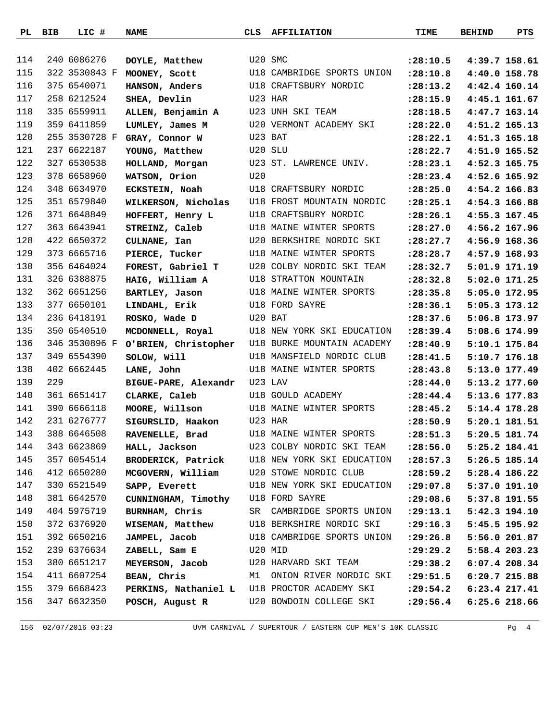|     | PL BIB | LIC #         | <b>NAME</b>                        | CLS     | <b>AFFILIATION</b>                            | TIME       | <b>BEHIND</b> | PTS             |
|-----|--------|---------------|------------------------------------|---------|-----------------------------------------------|------------|---------------|-----------------|
|     |        |               |                                    |         |                                               |            |               |                 |
| 114 |        | 240 6086276   | DOYLE, Matthew                     | U20 SMC |                                               | : 28:10.5  |               | 4:39.7 158.61   |
| 115 |        | 322 3530843 F | MOONEY, Scott                      |         | U18 CAMBRIDGE SPORTS UNION                    | : 28:10.8  |               | 4:40.0 158.78   |
| 116 |        | 375 6540071   | HANSON, Anders                     |         | U18 CRAFTSBURY NORDIC                         | : 28: 13.2 |               | 4:42.4 160.14   |
| 117 |        | 258 6212524   | SHEA, Devlin                       |         | U23 HAR                                       | : 28: 15.9 |               | 4:45.1 161.67   |
| 118 |        | 335 6559911   | ALLEN, Benjamin A                  |         | U23 UNH SKI TEAM                              | : 28:18.5  |               | 4:47.7 163.14   |
| 119 |        | 359 6411859   | LUMLEY, James M                    |         | U20 VERMONT ACADEMY SKI                       | : 28: 22.0 |               | 4:51.2 165.13   |
| 120 |        | 255 3530728 F | GRAY, Connor W                     |         | U23 BAT                                       | : 28: 22.1 |               | 4:51.3 165.18   |
| 121 |        | 237 6622187   | YOUNG, Matthew                     |         | U20 SLU                                       | : 28: 22.7 |               | 4:51.9 165.52   |
| 122 |        | 327 6530538   | HOLLAND, Morgan                    |         | U23 ST. LAWRENCE UNIV.                        | : 28: 23.1 |               | 4:52.3 165.75   |
| 123 |        | 378 6658960   | WATSON, Orion                      | U20     |                                               | : 28: 23.4 |               | 4:52.6 165.92   |
| 124 |        | 348 6634970   | ECKSTEIN, Noah                     |         | U18 CRAFTSBURY NORDIC                         | : 28: 25.0 |               | 4:54.2 166.83   |
| 125 |        | 351 6579840   | WILKERSON, Nicholas                |         | U18 FROST MOUNTAIN NORDIC                     | : 28: 25.1 |               | 4:54.3 166.88   |
| 126 |        | 371 6648849   | HOFFERT, Henry L                   |         | U18 CRAFTSBURY NORDIC                         | : 28: 26.1 |               | 4:55.3 167.45   |
| 127 |        | 363 6643941   | STREINZ, Caleb                     |         | U18 MAINE WINTER SPORTS                       | : 28: 27.0 |               | 4:56.2 167.96   |
| 128 |        | 422 6650372   | CULNANE, Ian                       |         | U20 BERKSHIRE NORDIC SKI                      | : 28: 27.7 |               | 4:56.9 168.36   |
| 129 |        | 373 6665716   | PIERCE, Tucker                     |         | U18 MAINE WINTER SPORTS                       | : 28: 28.7 |               | 4:57.9 168.93   |
| 130 |        | 356 6464024   | FOREST, Gabriel T                  |         | U20 COLBY NORDIC SKI TEAM                     | : 28:32.7  |               | 5:01.9 171.19   |
| 131 |        | 326 6388875   | HAIG, William A                    |         | U18 STRATTON MOUNTAIN                         | : 28:32.8  |               | 5:02.0 171.25   |
| 132 |        | 362 6651256   | BARTLEY, Jason                     |         | U18 MAINE WINTER SPORTS                       | : 28:35.8  |               | 5:05.0 172.95   |
| 133 |        | 377 6650101   | LINDAHL, Erik                      |         | U18 FORD SAYRE                                | : 28:36.1  |               | 5:05.3 173.12   |
| 134 |        | 236 6418191   | ROSKO, Wade D                      | U20 BAT |                                               | : 28:37.6  |               | 5:06.8 173.97   |
| 135 |        | 350 6540510   | MCDONNELL, Royal                   |         | U18 NEW YORK SKI EDUCATION                    | : 28:39.4  |               | 5:08.6 174.99   |
| 136 |        | 346 3530896 F | O'BRIEN, Christopher               |         | U18 BURKE MOUNTAIN ACADEMY                    | : 28: 40.9 |               | 5:10.1 175.84   |
| 137 |        | 349 6554390   | SOLOW, Will                        |         | U18 MANSFIELD NORDIC CLUB                     | : 28: 41.5 |               | 5:10.7 176.18   |
| 138 |        | 402 6662445   | LANE, John                         |         | U18 MAINE WINTER SPORTS                       | : 28: 43.8 |               | 5:13.0 177.49   |
| 139 | 229    |               | BIGUE-PARE, Alexandr               |         | U23 LAV                                       | : 28: 44.0 |               | 5:13.2 177.60   |
| 140 |        | 361 6651417   | CLARKE, Caleb                      |         | U18 GOULD ACADEMY                             | : 28: 44.4 |               | 5:13.6 177.83   |
| 141 |        | 390 6666118   | MOORE, Willson                     |         | U18 MAINE WINTER SPORTS                       | : 28: 45.2 | 5:14.4 178.28 |                 |
| 142 |        | 231 6276777   | SIGURSLID, Haakon                  |         | U23 HAR                                       | : 28:50.9  |               | 5:20.1 181.51   |
| 143 |        | 388 6646508   | RAVENELLE, Brad                    |         | U18 MAINE WINTER SPORTS                       | : 28:51.3  |               | 5:20.5 181.74   |
| 144 |        | 343 6623869   | HALL, Jackson                      |         | U23 COLBY NORDIC SKI TEAM                     | : 28:56.0  |               | 5:25.2 184.41   |
| 145 |        | 357 6054514   |                                    |         | BRODERICK, Patrick U18 NEW YORK SKI EDUCATION | : 28:57.3  |               | 5:26.5 185.14   |
| 146 |        | 412 6650280   | MCGOVERN, William                  |         | U20 STOWE NORDIC CLUB                         | : 28:59.2  |               | 5:28.4 186.22   |
| 147 |        | 330 6521549   | SAPP, Everett                      |         | U18 NEW YORK SKI EDUCATION                    | : 29:07.8  |               | 5:37.0 191.10   |
| 148 |        | 381 6642570   | CUNNINGHAM, Timothy U18 FORD SAYRE |         |                                               | : 29:08.6  |               | 5:37.8 191.55   |
| 149 |        | 404 5975719   | BURNHAM, Chris                     |         | SR CAMBRIDGE SPORTS UNION                     | : 29: 13.1 |               | 5:42.3 194.10   |
| 150 |        | 372 6376920   | WISEMAN, Matthew                   |         | U18 BERKSHIRE NORDIC SKI                      | : 29:16.3  |               | 5:45.5 195.92   |
| 151 |        | 392 6650216   | JAMPEL, Jacob                      |         | U18 CAMBRIDGE SPORTS UNION                    | : 29:26.8  |               | 5:56.0 201.87   |
| 152 |        | 239 6376634   | ZABELL, Sam E                      | U20 MID |                                               | : 29: 29.2 |               | 5:58.4 203.23   |
| 153 |        | 380 6651217   | MEYERSON, Jacob                    |         | U20 HARVARD SKI TEAM                          | : 29:38.2  |               | 6:07.4 208.34   |
| 154 |        | 411 6607254   | BEAN, Chris                        |         | M1 ONION RIVER NORDIC SKI                     | : 29:51.5  |               | 6:20.7 215.88   |
| 155 |        | 379 6668423   |                                    |         | PERKINS, Nathaniel L U18 PROCTOR ACADEMY SKI  | : 29:54.2  |               | $6:23.4$ 217.41 |
| 156 |        | 347 6632350   | POSCH, August R                    |         | U20 BOWDOIN COLLEGE SKI                       | : 29:56.4  |               | $6:25.6$ 218.66 |
|     |        |               |                                    |         |                                               |            |               |                 |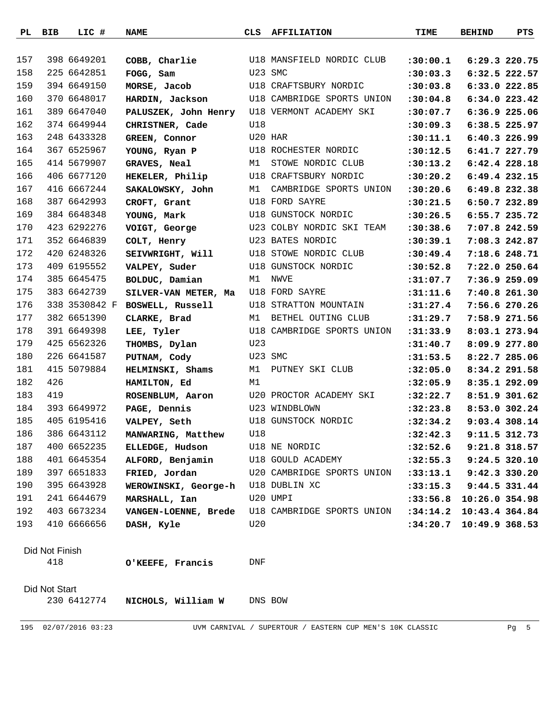| 157<br>398 6649201<br>U18 MANSFIELD NORDIC CLUB<br>COBB, Charlie<br>6:29.3 220.75<br>: 30:00.1<br>158<br>225 6642851<br>U23 SMC<br>FOGG, Sam<br>:30:03.3<br>6:32.5 222.57<br>159<br>394 6649150<br>U18 CRAFTSBURY NORDIC<br>MORSE, Jacob<br>:30:03.8<br>6:33.0 222.85<br>160<br>370 6648017<br>U18 CAMBRIDGE SPORTS UNION<br>6:34.0 223.42<br>HARDIN, Jackson<br>:30:04.8<br>161<br>389 6647040<br>U18 VERMONT ACADEMY SKI<br>6:36.9 225.06<br>PALUSZEK, John Henry<br>: 30:07.7<br>162<br>374 6649944<br>U18<br>:30:09.3<br>6:38.5 225.97<br>CHRISTNER, Cade<br>163<br>248 6433328<br>U20 HAR<br>GREEN, Connor<br>:30:11.1<br>$6:40.3$ 226.99<br>164<br>367 6525967<br>U18 ROCHESTER NORDIC<br>:30:12.5<br>6:41.7 227.79<br>YOUNG, Ryan P<br>165<br>414 5679907<br>M1<br>STOWE NORDIC CLUB<br>GRAVES, Neal<br>:30:13.2<br>6:42.4 228.18<br>166<br>406 6677120<br>U18 CRAFTSBURY NORDIC<br>HEKELER, Philip<br>:30:20.2<br>6:49.4 232.15<br>167<br>416 6667244<br>SAKALOWSKY, John<br>M1<br>CAMBRIDGE SPORTS UNION<br>:30:20.6<br>6:49.8 232.38<br>168<br>387 6642993<br>U18 FORD SAYRE<br>:30:21.5<br>6:50.7 232.89<br>CROFT, Grant<br>169<br>384 6648348<br>U18 GUNSTOCK NORDIC<br>:30:26.5<br>6:55.7 235.72<br>YOUNG, Mark<br>170<br>423 6292276<br>U23 COLBY NORDIC SKI TEAM<br>:30:38.6<br>7:07.8 242.59<br>VOIGT, George<br>171<br>352 6646839<br>U23 BATES NORDIC<br>7:08.3 242.87<br>COLT, Henry<br>:30:39.1<br>172<br>420 6248326<br>U18 STOWE NORDIC CLUB<br>7:18.6 248.71<br>SEIVWRIGHT, Will<br>:30:49.4<br>409 6195552<br>173<br>U18 GUNSTOCK NORDIC<br>VALPEY, Suder<br>:30:52.8<br>7:22.0 250.64<br>174<br>385 6645475<br>M1<br>NWVE<br>BOLDUC, Damian<br>:31:07.7<br>7:36.9 259.09<br>175<br>383 6642739<br>U18 FORD SAYRE<br>7:40.8 261.30<br>SILVER-VAN METER, Ma<br>:31:11.6<br>176<br>338 3530842 F<br>U18 STRATTON MOUNTAIN<br>BOSWELL, Russell<br>:31:27.4<br>7:56.6 270.26<br>177<br>382 6651390<br>BETHEL OUTING CLUB<br>CLARKE, Brad<br>M1<br>:31:29.7<br>7:58.9 271.56<br>178<br>391 6649398<br>U18 CAMBRIDGE SPORTS UNION<br>8:03.1 273.94<br>LEE, Tyler<br>: 31: 33.9<br>179<br>425 6562326<br>U23<br>THOMBS, Dylan<br>:31:40.7<br>8:09.9 277.80<br>180<br>226 6641587<br>U23 SMC<br>PUTNAM, Cody<br>: 31: 53.5<br>8:22.7 285.06<br>181<br>415 5079884<br>HELMINSKI, Shams<br>M1<br>8:34.2 291.58<br>PUTNEY SKI CLUB<br>:32:05.0<br>182<br>426<br>M1<br>8:35.1 292.09<br>HAMILTON, Ed<br>:32:05.9<br>183<br>419<br>U20 PROCTOR ACADEMY SKI<br>ROSENBLUM, Aaron<br>8:51.9 301.62<br>:32:22.7<br>184<br>393 6649972<br>U23 WINDBLOWN<br>PAGE, Dennis<br>:32:23.8<br>8:53.0 302.24<br>185<br>405 6195416<br>U18 GUNSTOCK NORDIC<br>: 32: 34.2<br>9:03.4 308.14<br>VALPEY, Seth<br>186<br>386 6643112<br>U18<br>$:32:42.3$ 9:11.5 312.73<br>MANWARING, Matthew<br>400 6652235<br>187<br>ELLEDGE, Hudson<br>U18 NE NORDIC<br>9:21.8 318.57<br>:32:52.6<br>188<br>401 6645354<br>ALFORD, Benjamin<br>U18 GOULD ACADEMY<br>9:24.5 320.10<br>:32:55.3<br>189<br>397 6651833<br>U20 CAMBRIDGE SPORTS UNION<br>FRIED, Jordan<br>9:42.3 330.20<br>: 33: 13.1<br>190<br>395 6643928<br>WEROWINSKI, George-h U18 DUBLIN XC<br>:33:15.3 9:44.5 331.44<br>191<br>241 6644679<br>MARSHALL, Ian<br>U20 UMPI<br>:33:56.8 10:26.0 354.98<br>192<br>403 6673234<br>VANGEN-LOENNE, Brede U18 CAMBRIDGE SPORTS UNION<br>: 34:14.2<br>10:43.4 364.84<br>193<br>410 6666656<br>U20<br>:34:20.7<br>10:49.9 368.53<br>DASH, Kyle<br>Did Not Finish<br>418<br>O'KEEFE, Francis<br>DNF<br>Did Not Start<br>230 6412774<br>NICHOLS, William W<br>DNS BOW | PL BIB | LIC # | <b>NAME</b> | CLS | <b>AFFILIATION</b> | TIME | <b>BEHIND</b> | PTS |
|--------------------------------------------------------------------------------------------------------------------------------------------------------------------------------------------------------------------------------------------------------------------------------------------------------------------------------------------------------------------------------------------------------------------------------------------------------------------------------------------------------------------------------------------------------------------------------------------------------------------------------------------------------------------------------------------------------------------------------------------------------------------------------------------------------------------------------------------------------------------------------------------------------------------------------------------------------------------------------------------------------------------------------------------------------------------------------------------------------------------------------------------------------------------------------------------------------------------------------------------------------------------------------------------------------------------------------------------------------------------------------------------------------------------------------------------------------------------------------------------------------------------------------------------------------------------------------------------------------------------------------------------------------------------------------------------------------------------------------------------------------------------------------------------------------------------------------------------------------------------------------------------------------------------------------------------------------------------------------------------------------------------------------------------------------------------------------------------------------------------------------------------------------------------------------------------------------------------------------------------------------------------------------------------------------------------------------------------------------------------------------------------------------------------------------------------------------------------------------------------------------------------------------------------------------------------------------------------------------------------------------------------------------------------------------------------------------------------------------------------------------------------------------------------------------------------------------------------------------------------------------------------------------------------------------------------------------------------------------------------------------------------------------------------------------------------------------------------------------------------------------------------------------------------------------------------------------------------------------------------------------------------------------------------------------------------------------------------------------------------------------------------------------------------------------------------------------------------------------------------------------------------------------------------------------|--------|-------|-------------|-----|--------------------|------|---------------|-----|
|                                                                                                                                                                                                                                                                                                                                                                                                                                                                                                                                                                                                                                                                                                                                                                                                                                                                                                                                                                                                                                                                                                                                                                                                                                                                                                                                                                                                                                                                                                                                                                                                                                                                                                                                                                                                                                                                                                                                                                                                                                                                                                                                                                                                                                                                                                                                                                                                                                                                                                                                                                                                                                                                                                                                                                                                                                                                                                                                                                                                                                                                                                                                                                                                                                                                                                                                                                                                                                                                                                                                                        |        |       |             |     |                    |      |               |     |
|                                                                                                                                                                                                                                                                                                                                                                                                                                                                                                                                                                                                                                                                                                                                                                                                                                                                                                                                                                                                                                                                                                                                                                                                                                                                                                                                                                                                                                                                                                                                                                                                                                                                                                                                                                                                                                                                                                                                                                                                                                                                                                                                                                                                                                                                                                                                                                                                                                                                                                                                                                                                                                                                                                                                                                                                                                                                                                                                                                                                                                                                                                                                                                                                                                                                                                                                                                                                                                                                                                                                                        |        |       |             |     |                    |      |               |     |
|                                                                                                                                                                                                                                                                                                                                                                                                                                                                                                                                                                                                                                                                                                                                                                                                                                                                                                                                                                                                                                                                                                                                                                                                                                                                                                                                                                                                                                                                                                                                                                                                                                                                                                                                                                                                                                                                                                                                                                                                                                                                                                                                                                                                                                                                                                                                                                                                                                                                                                                                                                                                                                                                                                                                                                                                                                                                                                                                                                                                                                                                                                                                                                                                                                                                                                                                                                                                                                                                                                                                                        |        |       |             |     |                    |      |               |     |
|                                                                                                                                                                                                                                                                                                                                                                                                                                                                                                                                                                                                                                                                                                                                                                                                                                                                                                                                                                                                                                                                                                                                                                                                                                                                                                                                                                                                                                                                                                                                                                                                                                                                                                                                                                                                                                                                                                                                                                                                                                                                                                                                                                                                                                                                                                                                                                                                                                                                                                                                                                                                                                                                                                                                                                                                                                                                                                                                                                                                                                                                                                                                                                                                                                                                                                                                                                                                                                                                                                                                                        |        |       |             |     |                    |      |               |     |
|                                                                                                                                                                                                                                                                                                                                                                                                                                                                                                                                                                                                                                                                                                                                                                                                                                                                                                                                                                                                                                                                                                                                                                                                                                                                                                                                                                                                                                                                                                                                                                                                                                                                                                                                                                                                                                                                                                                                                                                                                                                                                                                                                                                                                                                                                                                                                                                                                                                                                                                                                                                                                                                                                                                                                                                                                                                                                                                                                                                                                                                                                                                                                                                                                                                                                                                                                                                                                                                                                                                                                        |        |       |             |     |                    |      |               |     |
|                                                                                                                                                                                                                                                                                                                                                                                                                                                                                                                                                                                                                                                                                                                                                                                                                                                                                                                                                                                                                                                                                                                                                                                                                                                                                                                                                                                                                                                                                                                                                                                                                                                                                                                                                                                                                                                                                                                                                                                                                                                                                                                                                                                                                                                                                                                                                                                                                                                                                                                                                                                                                                                                                                                                                                                                                                                                                                                                                                                                                                                                                                                                                                                                                                                                                                                                                                                                                                                                                                                                                        |        |       |             |     |                    |      |               |     |
|                                                                                                                                                                                                                                                                                                                                                                                                                                                                                                                                                                                                                                                                                                                                                                                                                                                                                                                                                                                                                                                                                                                                                                                                                                                                                                                                                                                                                                                                                                                                                                                                                                                                                                                                                                                                                                                                                                                                                                                                                                                                                                                                                                                                                                                                                                                                                                                                                                                                                                                                                                                                                                                                                                                                                                                                                                                                                                                                                                                                                                                                                                                                                                                                                                                                                                                                                                                                                                                                                                                                                        |        |       |             |     |                    |      |               |     |
|                                                                                                                                                                                                                                                                                                                                                                                                                                                                                                                                                                                                                                                                                                                                                                                                                                                                                                                                                                                                                                                                                                                                                                                                                                                                                                                                                                                                                                                                                                                                                                                                                                                                                                                                                                                                                                                                                                                                                                                                                                                                                                                                                                                                                                                                                                                                                                                                                                                                                                                                                                                                                                                                                                                                                                                                                                                                                                                                                                                                                                                                                                                                                                                                                                                                                                                                                                                                                                                                                                                                                        |        |       |             |     |                    |      |               |     |
|                                                                                                                                                                                                                                                                                                                                                                                                                                                                                                                                                                                                                                                                                                                                                                                                                                                                                                                                                                                                                                                                                                                                                                                                                                                                                                                                                                                                                                                                                                                                                                                                                                                                                                                                                                                                                                                                                                                                                                                                                                                                                                                                                                                                                                                                                                                                                                                                                                                                                                                                                                                                                                                                                                                                                                                                                                                                                                                                                                                                                                                                                                                                                                                                                                                                                                                                                                                                                                                                                                                                                        |        |       |             |     |                    |      |               |     |
|                                                                                                                                                                                                                                                                                                                                                                                                                                                                                                                                                                                                                                                                                                                                                                                                                                                                                                                                                                                                                                                                                                                                                                                                                                                                                                                                                                                                                                                                                                                                                                                                                                                                                                                                                                                                                                                                                                                                                                                                                                                                                                                                                                                                                                                                                                                                                                                                                                                                                                                                                                                                                                                                                                                                                                                                                                                                                                                                                                                                                                                                                                                                                                                                                                                                                                                                                                                                                                                                                                                                                        |        |       |             |     |                    |      |               |     |
|                                                                                                                                                                                                                                                                                                                                                                                                                                                                                                                                                                                                                                                                                                                                                                                                                                                                                                                                                                                                                                                                                                                                                                                                                                                                                                                                                                                                                                                                                                                                                                                                                                                                                                                                                                                                                                                                                                                                                                                                                                                                                                                                                                                                                                                                                                                                                                                                                                                                                                                                                                                                                                                                                                                                                                                                                                                                                                                                                                                                                                                                                                                                                                                                                                                                                                                                                                                                                                                                                                                                                        |        |       |             |     |                    |      |               |     |
|                                                                                                                                                                                                                                                                                                                                                                                                                                                                                                                                                                                                                                                                                                                                                                                                                                                                                                                                                                                                                                                                                                                                                                                                                                                                                                                                                                                                                                                                                                                                                                                                                                                                                                                                                                                                                                                                                                                                                                                                                                                                                                                                                                                                                                                                                                                                                                                                                                                                                                                                                                                                                                                                                                                                                                                                                                                                                                                                                                                                                                                                                                                                                                                                                                                                                                                                                                                                                                                                                                                                                        |        |       |             |     |                    |      |               |     |
|                                                                                                                                                                                                                                                                                                                                                                                                                                                                                                                                                                                                                                                                                                                                                                                                                                                                                                                                                                                                                                                                                                                                                                                                                                                                                                                                                                                                                                                                                                                                                                                                                                                                                                                                                                                                                                                                                                                                                                                                                                                                                                                                                                                                                                                                                                                                                                                                                                                                                                                                                                                                                                                                                                                                                                                                                                                                                                                                                                                                                                                                                                                                                                                                                                                                                                                                                                                                                                                                                                                                                        |        |       |             |     |                    |      |               |     |
|                                                                                                                                                                                                                                                                                                                                                                                                                                                                                                                                                                                                                                                                                                                                                                                                                                                                                                                                                                                                                                                                                                                                                                                                                                                                                                                                                                                                                                                                                                                                                                                                                                                                                                                                                                                                                                                                                                                                                                                                                                                                                                                                                                                                                                                                                                                                                                                                                                                                                                                                                                                                                                                                                                                                                                                                                                                                                                                                                                                                                                                                                                                                                                                                                                                                                                                                                                                                                                                                                                                                                        |        |       |             |     |                    |      |               |     |
|                                                                                                                                                                                                                                                                                                                                                                                                                                                                                                                                                                                                                                                                                                                                                                                                                                                                                                                                                                                                                                                                                                                                                                                                                                                                                                                                                                                                                                                                                                                                                                                                                                                                                                                                                                                                                                                                                                                                                                                                                                                                                                                                                                                                                                                                                                                                                                                                                                                                                                                                                                                                                                                                                                                                                                                                                                                                                                                                                                                                                                                                                                                                                                                                                                                                                                                                                                                                                                                                                                                                                        |        |       |             |     |                    |      |               |     |
|                                                                                                                                                                                                                                                                                                                                                                                                                                                                                                                                                                                                                                                                                                                                                                                                                                                                                                                                                                                                                                                                                                                                                                                                                                                                                                                                                                                                                                                                                                                                                                                                                                                                                                                                                                                                                                                                                                                                                                                                                                                                                                                                                                                                                                                                                                                                                                                                                                                                                                                                                                                                                                                                                                                                                                                                                                                                                                                                                                                                                                                                                                                                                                                                                                                                                                                                                                                                                                                                                                                                                        |        |       |             |     |                    |      |               |     |
|                                                                                                                                                                                                                                                                                                                                                                                                                                                                                                                                                                                                                                                                                                                                                                                                                                                                                                                                                                                                                                                                                                                                                                                                                                                                                                                                                                                                                                                                                                                                                                                                                                                                                                                                                                                                                                                                                                                                                                                                                                                                                                                                                                                                                                                                                                                                                                                                                                                                                                                                                                                                                                                                                                                                                                                                                                                                                                                                                                                                                                                                                                                                                                                                                                                                                                                                                                                                                                                                                                                                                        |        |       |             |     |                    |      |               |     |
|                                                                                                                                                                                                                                                                                                                                                                                                                                                                                                                                                                                                                                                                                                                                                                                                                                                                                                                                                                                                                                                                                                                                                                                                                                                                                                                                                                                                                                                                                                                                                                                                                                                                                                                                                                                                                                                                                                                                                                                                                                                                                                                                                                                                                                                                                                                                                                                                                                                                                                                                                                                                                                                                                                                                                                                                                                                                                                                                                                                                                                                                                                                                                                                                                                                                                                                                                                                                                                                                                                                                                        |        |       |             |     |                    |      |               |     |
|                                                                                                                                                                                                                                                                                                                                                                                                                                                                                                                                                                                                                                                                                                                                                                                                                                                                                                                                                                                                                                                                                                                                                                                                                                                                                                                                                                                                                                                                                                                                                                                                                                                                                                                                                                                                                                                                                                                                                                                                                                                                                                                                                                                                                                                                                                                                                                                                                                                                                                                                                                                                                                                                                                                                                                                                                                                                                                                                                                                                                                                                                                                                                                                                                                                                                                                                                                                                                                                                                                                                                        |        |       |             |     |                    |      |               |     |
|                                                                                                                                                                                                                                                                                                                                                                                                                                                                                                                                                                                                                                                                                                                                                                                                                                                                                                                                                                                                                                                                                                                                                                                                                                                                                                                                                                                                                                                                                                                                                                                                                                                                                                                                                                                                                                                                                                                                                                                                                                                                                                                                                                                                                                                                                                                                                                                                                                                                                                                                                                                                                                                                                                                                                                                                                                                                                                                                                                                                                                                                                                                                                                                                                                                                                                                                                                                                                                                                                                                                                        |        |       |             |     |                    |      |               |     |
|                                                                                                                                                                                                                                                                                                                                                                                                                                                                                                                                                                                                                                                                                                                                                                                                                                                                                                                                                                                                                                                                                                                                                                                                                                                                                                                                                                                                                                                                                                                                                                                                                                                                                                                                                                                                                                                                                                                                                                                                                                                                                                                                                                                                                                                                                                                                                                                                                                                                                                                                                                                                                                                                                                                                                                                                                                                                                                                                                                                                                                                                                                                                                                                                                                                                                                                                                                                                                                                                                                                                                        |        |       |             |     |                    |      |               |     |
|                                                                                                                                                                                                                                                                                                                                                                                                                                                                                                                                                                                                                                                                                                                                                                                                                                                                                                                                                                                                                                                                                                                                                                                                                                                                                                                                                                                                                                                                                                                                                                                                                                                                                                                                                                                                                                                                                                                                                                                                                                                                                                                                                                                                                                                                                                                                                                                                                                                                                                                                                                                                                                                                                                                                                                                                                                                                                                                                                                                                                                                                                                                                                                                                                                                                                                                                                                                                                                                                                                                                                        |        |       |             |     |                    |      |               |     |
|                                                                                                                                                                                                                                                                                                                                                                                                                                                                                                                                                                                                                                                                                                                                                                                                                                                                                                                                                                                                                                                                                                                                                                                                                                                                                                                                                                                                                                                                                                                                                                                                                                                                                                                                                                                                                                                                                                                                                                                                                                                                                                                                                                                                                                                                                                                                                                                                                                                                                                                                                                                                                                                                                                                                                                                                                                                                                                                                                                                                                                                                                                                                                                                                                                                                                                                                                                                                                                                                                                                                                        |        |       |             |     |                    |      |               |     |
|                                                                                                                                                                                                                                                                                                                                                                                                                                                                                                                                                                                                                                                                                                                                                                                                                                                                                                                                                                                                                                                                                                                                                                                                                                                                                                                                                                                                                                                                                                                                                                                                                                                                                                                                                                                                                                                                                                                                                                                                                                                                                                                                                                                                                                                                                                                                                                                                                                                                                                                                                                                                                                                                                                                                                                                                                                                                                                                                                                                                                                                                                                                                                                                                                                                                                                                                                                                                                                                                                                                                                        |        |       |             |     |                    |      |               |     |
|                                                                                                                                                                                                                                                                                                                                                                                                                                                                                                                                                                                                                                                                                                                                                                                                                                                                                                                                                                                                                                                                                                                                                                                                                                                                                                                                                                                                                                                                                                                                                                                                                                                                                                                                                                                                                                                                                                                                                                                                                                                                                                                                                                                                                                                                                                                                                                                                                                                                                                                                                                                                                                                                                                                                                                                                                                                                                                                                                                                                                                                                                                                                                                                                                                                                                                                                                                                                                                                                                                                                                        |        |       |             |     |                    |      |               |     |
|                                                                                                                                                                                                                                                                                                                                                                                                                                                                                                                                                                                                                                                                                                                                                                                                                                                                                                                                                                                                                                                                                                                                                                                                                                                                                                                                                                                                                                                                                                                                                                                                                                                                                                                                                                                                                                                                                                                                                                                                                                                                                                                                                                                                                                                                                                                                                                                                                                                                                                                                                                                                                                                                                                                                                                                                                                                                                                                                                                                                                                                                                                                                                                                                                                                                                                                                                                                                                                                                                                                                                        |        |       |             |     |                    |      |               |     |
|                                                                                                                                                                                                                                                                                                                                                                                                                                                                                                                                                                                                                                                                                                                                                                                                                                                                                                                                                                                                                                                                                                                                                                                                                                                                                                                                                                                                                                                                                                                                                                                                                                                                                                                                                                                                                                                                                                                                                                                                                                                                                                                                                                                                                                                                                                                                                                                                                                                                                                                                                                                                                                                                                                                                                                                                                                                                                                                                                                                                                                                                                                                                                                                                                                                                                                                                                                                                                                                                                                                                                        |        |       |             |     |                    |      |               |     |
|                                                                                                                                                                                                                                                                                                                                                                                                                                                                                                                                                                                                                                                                                                                                                                                                                                                                                                                                                                                                                                                                                                                                                                                                                                                                                                                                                                                                                                                                                                                                                                                                                                                                                                                                                                                                                                                                                                                                                                                                                                                                                                                                                                                                                                                                                                                                                                                                                                                                                                                                                                                                                                                                                                                                                                                                                                                                                                                                                                                                                                                                                                                                                                                                                                                                                                                                                                                                                                                                                                                                                        |        |       |             |     |                    |      |               |     |
|                                                                                                                                                                                                                                                                                                                                                                                                                                                                                                                                                                                                                                                                                                                                                                                                                                                                                                                                                                                                                                                                                                                                                                                                                                                                                                                                                                                                                                                                                                                                                                                                                                                                                                                                                                                                                                                                                                                                                                                                                                                                                                                                                                                                                                                                                                                                                                                                                                                                                                                                                                                                                                                                                                                                                                                                                                                                                                                                                                                                                                                                                                                                                                                                                                                                                                                                                                                                                                                                                                                                                        |        |       |             |     |                    |      |               |     |
|                                                                                                                                                                                                                                                                                                                                                                                                                                                                                                                                                                                                                                                                                                                                                                                                                                                                                                                                                                                                                                                                                                                                                                                                                                                                                                                                                                                                                                                                                                                                                                                                                                                                                                                                                                                                                                                                                                                                                                                                                                                                                                                                                                                                                                                                                                                                                                                                                                                                                                                                                                                                                                                                                                                                                                                                                                                                                                                                                                                                                                                                                                                                                                                                                                                                                                                                                                                                                                                                                                                                                        |        |       |             |     |                    |      |               |     |
|                                                                                                                                                                                                                                                                                                                                                                                                                                                                                                                                                                                                                                                                                                                                                                                                                                                                                                                                                                                                                                                                                                                                                                                                                                                                                                                                                                                                                                                                                                                                                                                                                                                                                                                                                                                                                                                                                                                                                                                                                                                                                                                                                                                                                                                                                                                                                                                                                                                                                                                                                                                                                                                                                                                                                                                                                                                                                                                                                                                                                                                                                                                                                                                                                                                                                                                                                                                                                                                                                                                                                        |        |       |             |     |                    |      |               |     |
|                                                                                                                                                                                                                                                                                                                                                                                                                                                                                                                                                                                                                                                                                                                                                                                                                                                                                                                                                                                                                                                                                                                                                                                                                                                                                                                                                                                                                                                                                                                                                                                                                                                                                                                                                                                                                                                                                                                                                                                                                                                                                                                                                                                                                                                                                                                                                                                                                                                                                                                                                                                                                                                                                                                                                                                                                                                                                                                                                                                                                                                                                                                                                                                                                                                                                                                                                                                                                                                                                                                                                        |        |       |             |     |                    |      |               |     |
|                                                                                                                                                                                                                                                                                                                                                                                                                                                                                                                                                                                                                                                                                                                                                                                                                                                                                                                                                                                                                                                                                                                                                                                                                                                                                                                                                                                                                                                                                                                                                                                                                                                                                                                                                                                                                                                                                                                                                                                                                                                                                                                                                                                                                                                                                                                                                                                                                                                                                                                                                                                                                                                                                                                                                                                                                                                                                                                                                                                                                                                                                                                                                                                                                                                                                                                                                                                                                                                                                                                                                        |        |       |             |     |                    |      |               |     |
|                                                                                                                                                                                                                                                                                                                                                                                                                                                                                                                                                                                                                                                                                                                                                                                                                                                                                                                                                                                                                                                                                                                                                                                                                                                                                                                                                                                                                                                                                                                                                                                                                                                                                                                                                                                                                                                                                                                                                                                                                                                                                                                                                                                                                                                                                                                                                                                                                                                                                                                                                                                                                                                                                                                                                                                                                                                                                                                                                                                                                                                                                                                                                                                                                                                                                                                                                                                                                                                                                                                                                        |        |       |             |     |                    |      |               |     |
|                                                                                                                                                                                                                                                                                                                                                                                                                                                                                                                                                                                                                                                                                                                                                                                                                                                                                                                                                                                                                                                                                                                                                                                                                                                                                                                                                                                                                                                                                                                                                                                                                                                                                                                                                                                                                                                                                                                                                                                                                                                                                                                                                                                                                                                                                                                                                                                                                                                                                                                                                                                                                                                                                                                                                                                                                                                                                                                                                                                                                                                                                                                                                                                                                                                                                                                                                                                                                                                                                                                                                        |        |       |             |     |                    |      |               |     |
|                                                                                                                                                                                                                                                                                                                                                                                                                                                                                                                                                                                                                                                                                                                                                                                                                                                                                                                                                                                                                                                                                                                                                                                                                                                                                                                                                                                                                                                                                                                                                                                                                                                                                                                                                                                                                                                                                                                                                                                                                                                                                                                                                                                                                                                                                                                                                                                                                                                                                                                                                                                                                                                                                                                                                                                                                                                                                                                                                                                                                                                                                                                                                                                                                                                                                                                                                                                                                                                                                                                                                        |        |       |             |     |                    |      |               |     |
|                                                                                                                                                                                                                                                                                                                                                                                                                                                                                                                                                                                                                                                                                                                                                                                                                                                                                                                                                                                                                                                                                                                                                                                                                                                                                                                                                                                                                                                                                                                                                                                                                                                                                                                                                                                                                                                                                                                                                                                                                                                                                                                                                                                                                                                                                                                                                                                                                                                                                                                                                                                                                                                                                                                                                                                                                                                                                                                                                                                                                                                                                                                                                                                                                                                                                                                                                                                                                                                                                                                                                        |        |       |             |     |                    |      |               |     |
|                                                                                                                                                                                                                                                                                                                                                                                                                                                                                                                                                                                                                                                                                                                                                                                                                                                                                                                                                                                                                                                                                                                                                                                                                                                                                                                                                                                                                                                                                                                                                                                                                                                                                                                                                                                                                                                                                                                                                                                                                                                                                                                                                                                                                                                                                                                                                                                                                                                                                                                                                                                                                                                                                                                                                                                                                                                                                                                                                                                                                                                                                                                                                                                                                                                                                                                                                                                                                                                                                                                                                        |        |       |             |     |                    |      |               |     |
|                                                                                                                                                                                                                                                                                                                                                                                                                                                                                                                                                                                                                                                                                                                                                                                                                                                                                                                                                                                                                                                                                                                                                                                                                                                                                                                                                                                                                                                                                                                                                                                                                                                                                                                                                                                                                                                                                                                                                                                                                                                                                                                                                                                                                                                                                                                                                                                                                                                                                                                                                                                                                                                                                                                                                                                                                                                                                                                                                                                                                                                                                                                                                                                                                                                                                                                                                                                                                                                                                                                                                        |        |       |             |     |                    |      |               |     |
|                                                                                                                                                                                                                                                                                                                                                                                                                                                                                                                                                                                                                                                                                                                                                                                                                                                                                                                                                                                                                                                                                                                                                                                                                                                                                                                                                                                                                                                                                                                                                                                                                                                                                                                                                                                                                                                                                                                                                                                                                                                                                                                                                                                                                                                                                                                                                                                                                                                                                                                                                                                                                                                                                                                                                                                                                                                                                                                                                                                                                                                                                                                                                                                                                                                                                                                                                                                                                                                                                                                                                        |        |       |             |     |                    |      |               |     |
|                                                                                                                                                                                                                                                                                                                                                                                                                                                                                                                                                                                                                                                                                                                                                                                                                                                                                                                                                                                                                                                                                                                                                                                                                                                                                                                                                                                                                                                                                                                                                                                                                                                                                                                                                                                                                                                                                                                                                                                                                                                                                                                                                                                                                                                                                                                                                                                                                                                                                                                                                                                                                                                                                                                                                                                                                                                                                                                                                                                                                                                                                                                                                                                                                                                                                                                                                                                                                                                                                                                                                        |        |       |             |     |                    |      |               |     |
|                                                                                                                                                                                                                                                                                                                                                                                                                                                                                                                                                                                                                                                                                                                                                                                                                                                                                                                                                                                                                                                                                                                                                                                                                                                                                                                                                                                                                                                                                                                                                                                                                                                                                                                                                                                                                                                                                                                                                                                                                                                                                                                                                                                                                                                                                                                                                                                                                                                                                                                                                                                                                                                                                                                                                                                                                                                                                                                                                                                                                                                                                                                                                                                                                                                                                                                                                                                                                                                                                                                                                        |        |       |             |     |                    |      |               |     |
|                                                                                                                                                                                                                                                                                                                                                                                                                                                                                                                                                                                                                                                                                                                                                                                                                                                                                                                                                                                                                                                                                                                                                                                                                                                                                                                                                                                                                                                                                                                                                                                                                                                                                                                                                                                                                                                                                                                                                                                                                                                                                                                                                                                                                                                                                                                                                                                                                                                                                                                                                                                                                                                                                                                                                                                                                                                                                                                                                                                                                                                                                                                                                                                                                                                                                                                                                                                                                                                                                                                                                        |        |       |             |     |                    |      |               |     |
|                                                                                                                                                                                                                                                                                                                                                                                                                                                                                                                                                                                                                                                                                                                                                                                                                                                                                                                                                                                                                                                                                                                                                                                                                                                                                                                                                                                                                                                                                                                                                                                                                                                                                                                                                                                                                                                                                                                                                                                                                                                                                                                                                                                                                                                                                                                                                                                                                                                                                                                                                                                                                                                                                                                                                                                                                                                                                                                                                                                                                                                                                                                                                                                                                                                                                                                                                                                                                                                                                                                                                        |        |       |             |     |                    |      |               |     |